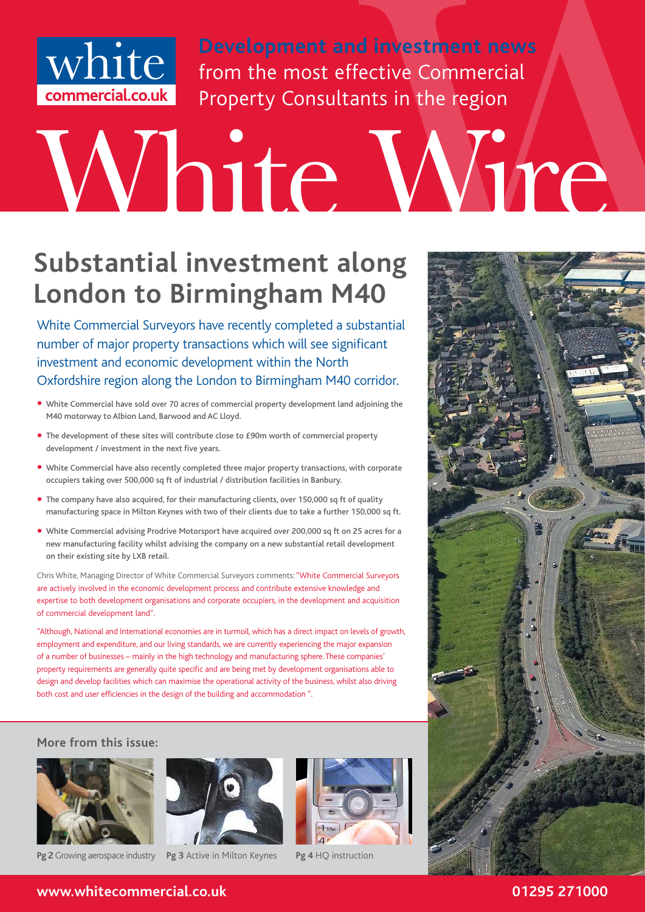

**Development and investment news** from the most effective Commercial Property Consultants in the region

# White from the most effective Commercial count<br> **Commercial.co.uk** Property Consultants in the region<br> **Windows** Property Consultants in the region

#### **Substantial investment along London to Birmingham M40**

White Commercial Surveyors have recently completed a substantial number of major property transactions which will see significant investment and economic development within the North Oxfordshire region along the London to Birmingham M40 corridor.

- White Commercial have sold over 70 acres of commercial property development land adjoining the M40 motorway to Albion Land, Barwood and AC Lloyd.
- The development of these sites will contribute close to £90m worth of commercial property development / investment in the next five years.
- • White Commercial have also recently completed three major property transactions, with corporate occupiers taking over 500,000 sq ft of industrial / distribution facilities in Banbury.
- The company have also acquired, for their manufacturing clients, over 150,000 sq ft of quality manufacturing space in Milton Keynes with two of their clients due to take a further 150,000 sq ft.
- White Commercial advising Prodrive Motorsport have acquired over 200,000 sq ft on 25 acres for a new manufacturing facility whilst advising the company on a new substantial retail development on their existing site by LXB retail.

Chris White, Managing Director of White Commercial Surveyors comments: "White Commercial Surveyors are actively involved in the economic development process and contribute extensive knowledge and expertise to both development organisations and corporate occupiers, in the development and acquisition of commercial development land".

"Although, National and International economies are in turmoil, which has a direct impact on levels of growth, employment and expenditure, and our living standards, we are currently experiencing the major expansion of a number of businesses – mainly in the high technology and manufacturing sphere. These companies' property requirements are generally quite specific and are being met by development organisations able to design and develop facilities which can maximise the operational activity of the business, whilst also driving both cost and user efficiencies in the design of the building and accommodation ".

#### **More from this issue:**





**Pg 2** Growing aerospace industry **Pg 3** Active in Milton Keynes **Pg 4 HQ** instruction





**www.whitecommercial.co.uk 01295 271000**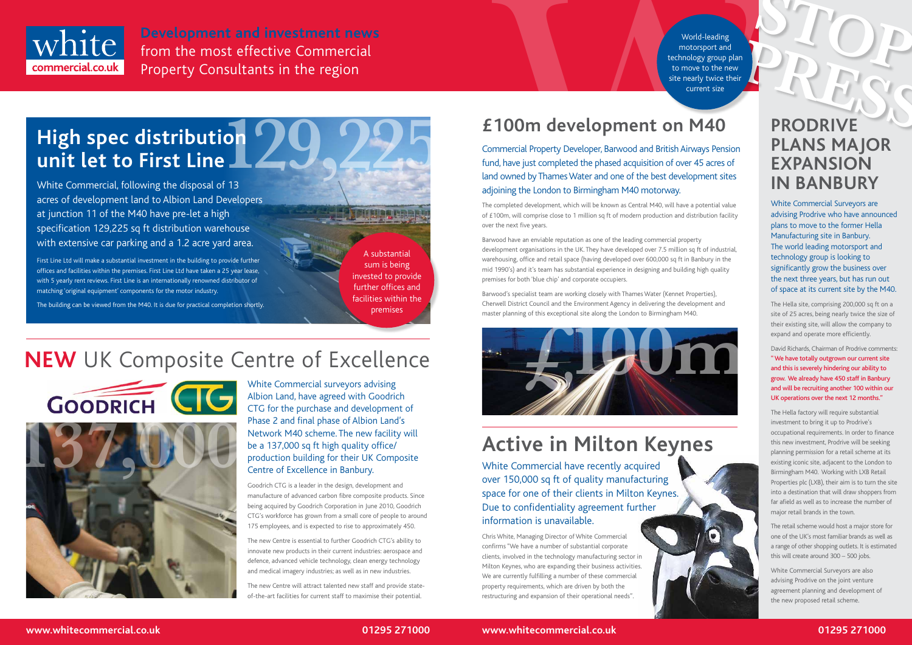

**Development and investment news**<br> **Property Consultants in the region**<br> **Property Consultants in the region**<br> **Property Consultants in the region**<br> **Examples**<br> **EXALL EXALL EXALL EXALL EXALL EXALL EXALL EXALL EXALL EXALL** from the most effective Commercial Property Consultants in the region



#### **£100m development on M40**

Commercial Property Developer, Barwood and British Airways Pension fund, have just completed the phased acquisition of over 45 acres of land owned by Thames Water and one of the best development sites adjoining the London to Birmingham M40 motorway.

The completed development, which will be known as Central M40, will have a potential value of £100m, will comprise close to 1 million sq ft of modern production and distribution facility over the next five years.

Barwood have an enviable reputation as one of the leading commercial property development organisations in the UK. They have developed over 7.5 million sq ft of industrial, warehousing, office and retail space (having developed over 600,000 sq ft in Banbury in the mid 1990's) and it's team has substantial experience in designing and building high quality premises for both 'blue chip' and corporate occupiers.

Barwood's specialist team are working closely with Thames Water (Kennet Properties), Cherwell District Council and the Environment Agency in delivering the development and master planning of this exceptional site along the London to Birmingham M40.

## **Active in Milton Keynes**

White Commercial have recently acquired over 150,000 sq ft of quality manufacturing space for one of their clients in Milton Keynes. Due to confidentiality agreement further information is unavailable.

Chris White, Managing Director of White Commercial confirms "We have a number of substantial corporate clients, involved in the technology manufacturing sector in Milton Keynes, who are expanding their business activities. We are currently fulfilling a number of these commercial property requirements, which are driven by both the restructuring and expansion of their operational needs".



White Commercial surveyors advising Albion Land, have agreed with Goodrich CTG for the purchase and development of Phase 2 and final phase of Albion Land's Network M40 scheme. The new facility will be a 137,000 sq ft high quality office/ production building for their UK Composite Centre of Excellence in Banbury.

Goodrich CTG is a leader in the design, development and manufacture of advanced carbon fibre composite products. Since being acquired by Goodrich Corporation in June 2010, Goodrich CTG's workforce has grown from a small core of people to around 175 employees, and is expected to rise to approximately 450.

The new Centre is essential to further Goodrich CTG's ability to innovate new products in their current industries: aerospace and defence, advanced vehicle technology, clean energy technology and medical imagery industries; as well as in new industries.

World-leading<br>
motorsport and<br>
move to the new<br>
nearly twice their<br>
current size<br> **PRODRIVE** motorsport and technology group plan to move to the new site nearly twice their current size

The new Centre will attract talented new staff and provide stateof-the-art facilities for current staff to maximise their potential.

White Commercial, following the disposal of 13 acres of development land to Albion Land Developers at junction 11 of the M40 have pre-let a high specification 129,225 sq ft distribution warehouse with extensive car parking and a 1.2 acre yard area.

## **High spec distribution unit let to First Line 129,225**

First Line Ltd will make a substantial investment in the building to provide further offices and facilities within the premises. First Line Ltd have taken a 25 year lease, with 5 yearly rent reviews. First Line is an internationally renowned distributor of matching 'original equipment' components for the motor industry.

The building can be viewed from the M40. It is due for practical completion shortly.

# **NEW** UK Composite Centre of Excellence



A substantial sum is being invested to provide further offices and facilities within the premises





#### **PRODRIVE PLANS MAJOR EXPANSION IN BANBURY**

White Commercial Surveyors are advising Prodrive who have announced plans to move to the former Hella Manufacturing site in Banbury. The world leading motorsport and technology group is looking to significantly grow the business over the next three years, but has run out of space at its current site by the M40.

The Hella site, comprising 200,000 sq ft on a site of 25 acres, being nearly twice the size of their existing site, will allow the company to expand and operate more efficiently.

David Richards, Chairman of Prodrive comments: "We have totally outgrown our current site and this is severely hindering our ability to grow. We already have 450 staff in Banbury and will be recruiting another 100 within our UK operations over the next 12 months."

The Hella factory will require substantial investment to bring it up to Prodrive's occupational requirements. In order to finance this new investment, Prodrive will be seeking planning permission for a retail scheme at its existing iconic site, adjacent to the London to Birmingham M40. Working with LXB Retail Properties plc (LXB), their aim is to turn the site into a destination that will draw shoppers from far afield as well as to increase the number of major retail brands in the town.

The retail scheme would host a major store for one of the UK's most familiar brands as well as a range of other shopping outlets. It is estimated this will create around 300 – 500 jobs.

White Commercial Surveyors are also advising Prodrive on the joint venture agreement planning and development of the new proposed retail scheme.

**STOP**